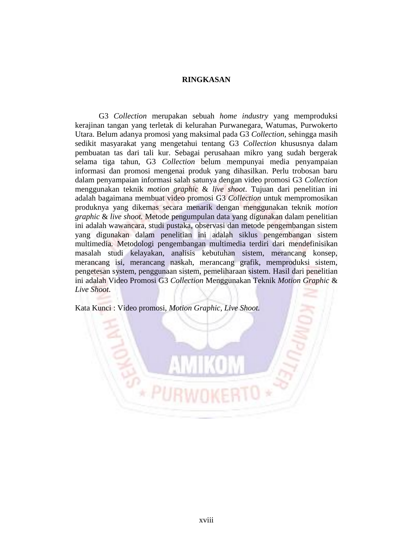## **RINGKASAN**

G3 *Collection* merupakan sebuah *home industry* yang memproduksi kerajinan tangan yang terletak di kelurahan Purwanegara, Watumas, Purwokerto Utara. Belum adanya promosi yang maksimal pada G3 *Collection*, sehingga masih sedikit masyarakat yang mengetahui tentang G3 *Collection* khususnya dalam pembuatan tas dari tali kur. Sebagai perusahaan mikro yang sudah bergerak selama tiga tahun, G3 *Collection* belum mempunyai media penyampaian informasi dan promosi mengenai produk yang dihasilkan. Perlu trobosan baru dalam penyampaian informasi salah satunya dengan video promosi G3 *Collection*  menggunakan teknik *motion graphic* & *live shoot*. Tujuan dari penelitian ini adalah bagaimana membuat video promosi G3 *Collection* untuk mempromosikan produknya yang dikemas secara menarik dengan menggunakan teknik *motion graphic* & *live shoot.* Metode pengumpulan data yang digunakan dalam penelitian ini adalah wawancara, studi pustaka, observasi dan metode pengembangan sistem yang digunakan dalam penelitian ini adalah siklus pengembangan sistem multimedia*.* Metodologi pengembangan multimedia terdiri dari mendefinisikan masalah studi kelayakan, analisis kebutuhan sistem, merancang konsep, merancang isi, merancang naskah, merancang grafik, memproduksi sistem, pengetesan system, penggunaan sistem, pemeliharaan sistem. Hasil dari penelitian ini adalah Video Promosi G3 *Collection* Menggunakan Teknik *Motion Graphic* & *Live Shoot*.

Kata Kunci : Video promosi, *Motion Graphic, Live Shoot.*